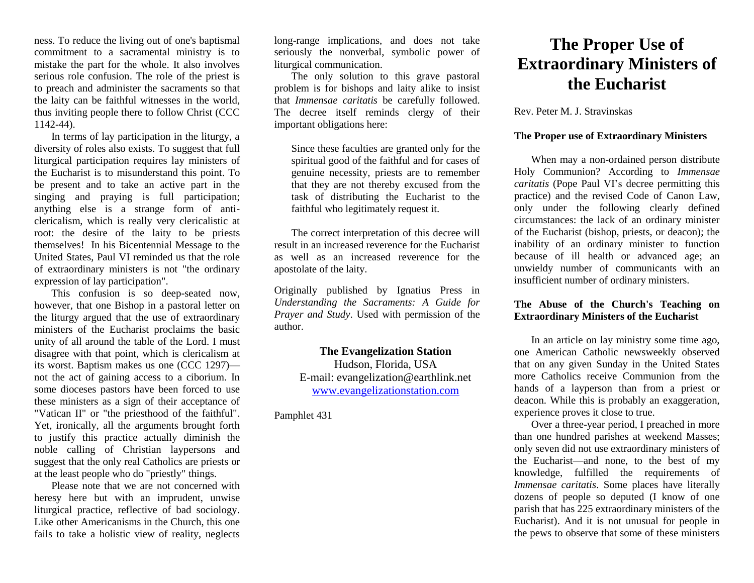ness. To reduce the living out of one's baptismal commitment to a sacramental ministry is to mistake the part for the whole. It also involves serious role confusion. The role of the priest is to preach and administer the sacraments so that the laity can be faithful witnesses in the world, thus inviting people there to follow Christ (CCC 1142-44).

In terms of lay participation in the liturgy, a diversity of roles also exists. To suggest that full liturgical participation requires lay ministers of the Eucharist is to misunderstand this point. To be present and to take an active part in the singing and praying is full participation; anything else is a strange form of anticlericalism, which is really very clericalistic at root: the desire of the laity to be priests themselves! In his Bicentennial Message to the United States, Paul VI reminded us that the role of extraordinary ministers is not "the ordinary expression of lay participation".

This confusion is so deep-seated now, however, that one Bishop in a pastoral letter on the liturgy argued that the use of extraordinary ministers of the Eucharist proclaims the basic unity of all around the table of the Lord. I must disagree with that point, which is clericalism at its worst. Baptism makes us one (CCC 1297) not the act of gaining access to a ciborium. In some dioceses pastors have been forced to use these ministers as a sign of their acceptance of "Vatican II" or "the priesthood of the faithful". Yet, ironically, all the arguments brought forth to justify this practice actually diminish the noble calling of Christian laypersons and suggest that the only real Catholics are priests or at the least people who do "priestly" things.

Please note that we are not concerned with heresy here but with an imprudent, unwise liturgical practice, reflective of bad sociology. Like other Americanisms in the Church, this one fails to take a holistic view of reality, neglects

long-range implications, and does not take seriously the nonverbal, symbolic power of liturgical communication.

The only solution to this grave pastoral problem is for bishops and laity alike to insist that *Immensae caritatis* be carefully followed. The decree itself reminds clergy of their important obligations here:

Since these faculties are granted only for the spiritual good of the faithful and for cases of genuine necessity, priests are to remember that they are not thereby excused from the task of distributing the Eucharist to the faithful who legitimately request it.

The correct interpretation of this decree will result in an increased reverence for the Eucharist as well as an increased reverence for the apostolate of the laity.

Originally published by Ignatius Press in *Understanding the Sacraments: A Guide for Prayer and Study*. Used with permission of the author.

> **The Evangelization Station**  Hudson, Florida, USA E-mail: evangelization@earthlink.net [www.evangelizationstation.com](http://www.pjpiisoe.org/)

### Pamphlet 431

# **The Proper Use of Extraordinary Ministers of the Eucharist**

Rev. Peter M. J. Stravinskas

## **The Proper use of Extraordinary Ministers**

When may a non-ordained person distribute Holy Communion? According to *Immensae caritatis* (Pope Paul VI's decree permitting this practice) and the revised Code of Canon Law, only under the following clearly defined circumstances: the lack of an ordinary minister of the Eucharist (bishop, priests, or deacon); the inability of an ordinary minister to function because of ill health or advanced age; an unwieldy number of communicants with an insufficient number of ordinary ministers.

#### **The Abuse of the Church's Teaching on Extraordinary Ministers of the Eucharist**

In an article on lay ministry some time ago, one American Catholic newsweekly observed that on any given Sunday in the United States more Catholics receive Communion from the hands of a layperson than from a priest or deacon. While this is probably an exaggeration, experience proves it close to true.

Over a three-year period, I preached in more than one hundred parishes at weekend Masses; only seven did not use extraordinary ministers of the Eucharist—and none, to the best of my knowledge, fulfilled the requirements of *Immensae caritatis*. Some places have literally dozens of people so deputed (I know of one parish that has 225 extraordinary ministers of the Eucharist). And it is not unusual for people in the pews to observe that some of these ministers